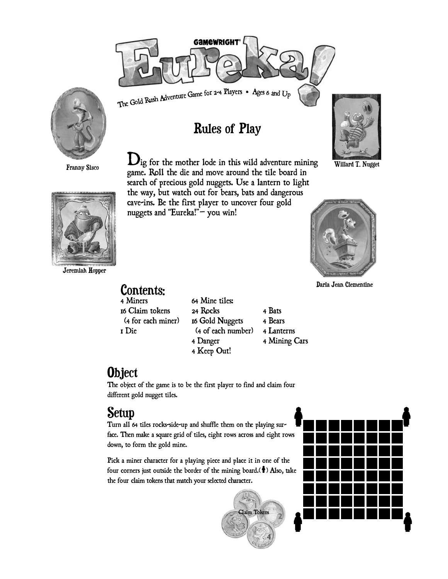

**Rules of Play** 

The Gold Rush Adventure Game for 2-4 Players . Ages 6 and Up



Franny Sisco

 $\mathbf{D}_{ig}$  for the mother lode in this wild adventure mining game. Roll the die and move around the tile board in search of precious gold nuggets. Use a lantern to light the way, but watch out for bears, bats and dangerous cave-ins. Be the first player to uncover four gold nuggets and "Eureka!"- you win!



Willard T. Nugget



Darla Jean Clementine



Jeremiah Hopper

**Contents:** 64 Mine tiles: 16 Claim tokens 24 Rocks 4 Bats (4 for each miner) 16 Gold Nuggets 4 Bears (4 of each number) 4 Lanterns 4 Danger 4 Mining Cars 4 Keep Out!

**Object** 

4 Miners

1 Die

The object of the game is to be the first player to find and claim four different gold nugget tiles.

## Setup

Turn all 64 tiles rocks-side-up and shuffle them on the playing surface. Then make a square grid of tiles, eight rows across and eight rows down, to form the gold mine.

Pick a miner character for a playing piece and place it in one of the four corners just outside the border of the mining board.( $\bullet$ ) Also, take the four claim tokens that match your selected character.



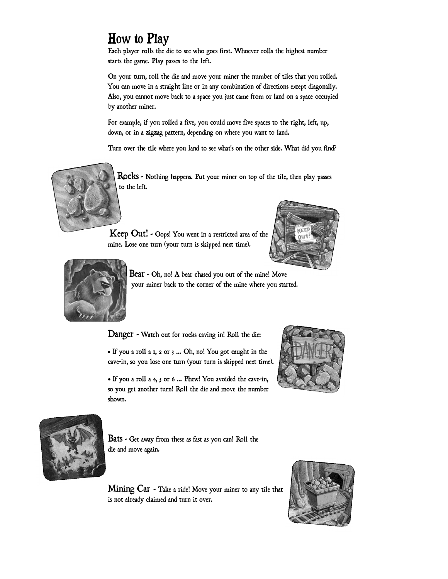### **How to Play**

Each player rolls the die to see who goes first. Whoever rolls the highest number starts the game. Play passes to the left.

On your turn, roll the die and move your miner the number of tiles that you rolled. You can move in a straight line or in any combination of directions except diagonally. Also, you cannot move back to a space you just came from or land on a space occupied by another miner.

For example, if you rolled a five, you could move five spaces to the right, left, up, down, or in a zigzag pattern, depending on where you want to land.

Turn over the tile where you land to see what's on the other side. What did you find?



Rocks - Nothing happens. Put your miner on top of the tile, then play passes to the left.

Keep Out! - Oops! You went in a restricted area of the mine. Lose one turn (your turn is skipped next time).





Bear - Oh, no! A bear chased you out of the mine! Move your miner back to the corner of the mine where you started.

Danger - Watch out for rocks caving in! Roll the die:

• If you a roll a 1, 2 or 3 ... Oh, no! You got caught in the cave-in, so you lose one turn (your turn is skipped next time).

• If you a roll a 4, 5 or 6 ... Phew! You avoided the cave-in, so you get another turn! Roll the die and move the number shown.





Bats - Get away from these as fast as you can! Roll the die and move again.

Mining Car - Take a ride! Move your miner to any tile that is not already claimed and turn it over.

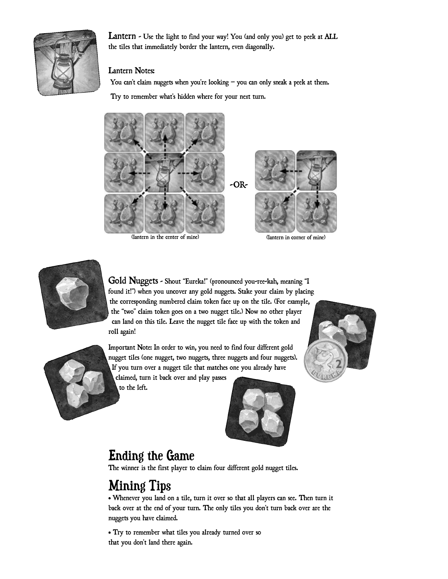

Lantern - Use the light to find your way! You (and only you) get to peek at ALL the tiles that immediately border the lantern, even diagonally.

#### Lantern Notes:

You can't claim nuggets when you're looking  $-$  you can only sneak a peek at them.

Try to remember what's hidden where for your next turn.





Gold Nuggets - Shout "Eureka!" (pronounced you-ree-kah, meaning "I found it!") when you uncover any gold nuggets. Stake your claim by placing the corresponding numbered claim token face up on the tile. (For example, the "two" claim token goes on a two nugget tile.) Now no other player can land on this tile. Leave the nugget tile face up with the token and roll again!

Important Note: In order to win, you need to find four different gold nugget tiles (one nugget, two nuggets, three nuggets and four nuggets). If you turn over a nugget tile that matches one you already have

claimed, turn it back over and play passes to the left.



### **Ending the Game**

The winner is the first player to claim four different gold nugget tiles.

# **Mining Tips**

• Whenever you land on a tile, turn it over so that all players can see. Then turn it back over at the end of your turn. The only tiles you don't turn back over are the nuggets you have claimed.

• Try to remember what tiles you already turned over so that you don't land there again.